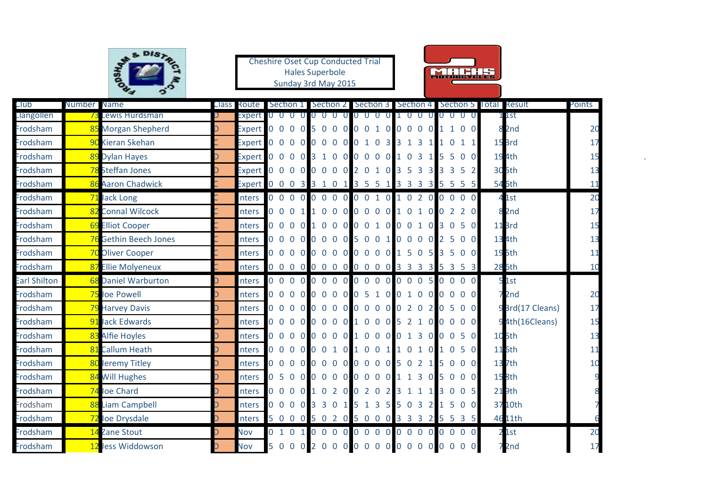|                      |             | SA DISTA                          |                        | <b>Cheshire Oset Cup Conducted Trial</b> | <b>Hales Superbole</b><br>Sunday 3rd May 2015 |                                                                 |                      | MINE HA                                     |                                                                |          |
|----------------------|-------------|-----------------------------------|------------------------|------------------------------------------|-----------------------------------------------|-----------------------------------------------------------------|----------------------|---------------------------------------------|----------------------------------------------------------------|----------|
| Club                 | Number Name |                                   | Class Route I          |                                          |                                               |                                                                 |                      |                                             | Section 1 Section 2 Section 3 Section 4 Section 5 Total Result | Points   |
| Llangollen           |             | Lewis Hurdsman                    | Expert                 |                                          |                                               | 0                                                               | $\Omega$<br>$\Omega$ | $\Omega$<br>$\Omega$                        | 1 1st                                                          |          |
| Frodsham             |             | 85 Morgan Shepherd                | Expert                 | 0000                                     |                                               | 5 0 0 0 0 0 1 0                                                 | 0000                 | 1 0 0                                       | 8 <sub>2nd</sub>                                               | 20       |
| Frodsham             |             | 90 Kieran Skehan                  | <b>Expert</b>          |                                          |                                               | 0 0 0 0 0 0 0 0 0 1 0 3                                         | 3 1 3                | $0$ 1 1                                     | 15 <sub>Brd</sub>                                              | 17       |
| Frodsham             |             | 89 Dylan Hayes                    | <b>Expert</b>          |                                          |                                               | 0 0 0 0 3 1 0 0 0 0 0 0 1 0 3                                   |                      | 5 5 0 0                                     | 194th                                                          | 15       |
| Frodsham             |             | 78 Steffan Jones                  |                        |                                          |                                               | Expert 0 0 0 0 0 0 0 0 0 2 0 1 0 3 5 3                          |                      | 3 3 3 5 2                                   | 305th                                                          | 13       |
| Frodsham<br>Frodsham |             | 86 Aaron Chadwick                 |                        | $0\quad 0$                               |                                               | Expert 0 0 0 3 3 1 0 1 3 5 5 1<br>0 0 0 0 0 0 0 0 1 0 1 0 2 0 0 | 3 3 3 3              | 5 5 5 5<br>$\overline{0}$<br>0 <sub>0</sub> | 546th                                                          | 11       |
| Frodsham             |             | 71 Jack Long<br>82 Connal Wilcock | <b>Inters</b>          |                                          |                                               |                                                                 |                      | 0 0 0 1 1 0 0 0 0 0 0 0 1 0 1 0 0 2 2 0     | 41st                                                           | 20       |
| Frodsham             |             | 69 Elliot Cooper                  | nters                  |                                          |                                               |                                                                 |                      | 0 0 0 0 1 0 0 0 0 0 1 0 0 0 1 0 3 0 5 0     | 8 <sub>2nd</sub>                                               | 17       |
| Frodsham             |             | 76 Gethin Beech Jones             | nters<br>Inters        |                                          |                                               | 0 0 0 0 0 0 0 0 5 0 0 1                                         |                      | 0 0 0 0 2 5 0 0                             | 11 <sub>Brd</sub><br>134th                                     | 15       |
| Frodsham             |             | 70 Oliver Cooper                  |                        |                                          |                                               | 0 0 0 0 0 0 0 0 0 0 0 0 1 5 0 5                                 |                      | 3 5 0 0                                     | 195th                                                          | 13<br>11 |
| Frodsham             |             | 87 Ellie Molyeneux                | <b>nters</b><br>Inters |                                          |                                               | 0 0 0 0 0 0 0 0 0 0 0 0 0 3 3 3 3                               |                      | 5 3 5 3                                     | <b>286th</b>                                                   | 10       |
| <b>Earl Shilton</b>  |             | 68 Daniel Warburton               | nters                  |                                          |                                               |                                                                 |                      |                                             | 51st                                                           |          |
| Frodsham             |             | 75 Joe Powell                     | <b>nters</b>           |                                          |                                               |                                                                 |                      |                                             | 7 <sub>2nd</sub>                                               | 20       |
| Frodsham             |             | 79 Harvey Davis                   | nters                  |                                          |                                               |                                                                 |                      | 0 0 0 0 0 0 0 0 0 0 0 0 0 2 0 2 0 5 0 0     | 93rd(17 Cleans)                                                | 17       |
| Frodsham             |             | 91 Jack Edwards                   | Inters                 |                                          |                                               |                                                                 |                      | 0 0 0 0 0 0 0 0 1 0 0 0 5 2 1 0 0 0 0 0     | 94th(16Cleans)                                                 | 15       |
| Frodsham             |             | 83 Alfie Hoyles                   | Inters                 |                                          |                                               |                                                                 |                      | 0 0 0 0 0 0 0 0 1 0 0 0 0 1 3 0 0 0 5 0     | 105th                                                          | 13       |
| Frodsham             |             | 81 Callum Heath                   | <b>Inters</b>          |                                          |                                               |                                                                 |                      | 0 0 0 0 0 0 1 0 1 0 0 1 1 0 1 0 1 0 5 0     | 116th                                                          | 11       |
| Frodsham             |             | Jeremy Titley                     | Inters                 |                                          |                                               |                                                                 |                      | 0 0 0 0 0 0 0 0 0 0 0 0 5 0 2 1 5 0 0 0     | 137th                                                          | 10       |
| Frodsham             |             | 84 Will Hughes                    | <b>nters</b>           | 0 <sub>5</sub>                           |                                               | 0 0 0 0 0 0 0 0 0 0 1 1 3 0 5 0                                 |                      | 0 <sub>0</sub>                              | <b>158th</b>                                                   |          |
| Frodsham             |             | Joe Chard                         | Inters                 | $0\quad 0$                               |                                               | 0 0 1 0 2 0 0 2 0<br>$\overline{2}$                             | 3 1 1 1              | 0 <sub>5</sub><br>3 <sub>0</sub>            | 219th                                                          |          |
| Frodsham             |             | 88 Liam Campbell                  | nters                  | 0 0 0 0 3 3 0 1                          |                                               | $\overline{\phantom{0}}$<br>3 <sub>5</sub><br>$\mathbf{1}$      | 5<br>0 <sub>3</sub>  | 0 <sub>0</sub><br>$1\,5$<br>2               | 3710th                                                         |          |
| Frodsham             |             | 72 Joe Drysdale                   | Inters                 | 5 0 0 0 5 0 2 0                          |                                               | 5 0 0 0 3 3 3 2 5 5                                             |                      | 3 <sub>5</sub>                              | 4611th                                                         |          |
| Frodsham             |             | 14 Zane Stout                     | Nov                    | 0 1 0 1                                  | 0000                                          |                                                                 |                      | 0 0 0 0 0 0 0 0 0 0 0 0                     | 21st                                                           | 20       |
| Frodsham             |             | 12 Jess Widdowson                 | <b>Nov</b>             |                                          |                                               |                                                                 |                      | 5 0 0 0 2 0 0 0 0 0 0 0 0 0 0 0 0 0 0 0     | 72 <sub>nd</sub>                                               | 17       |